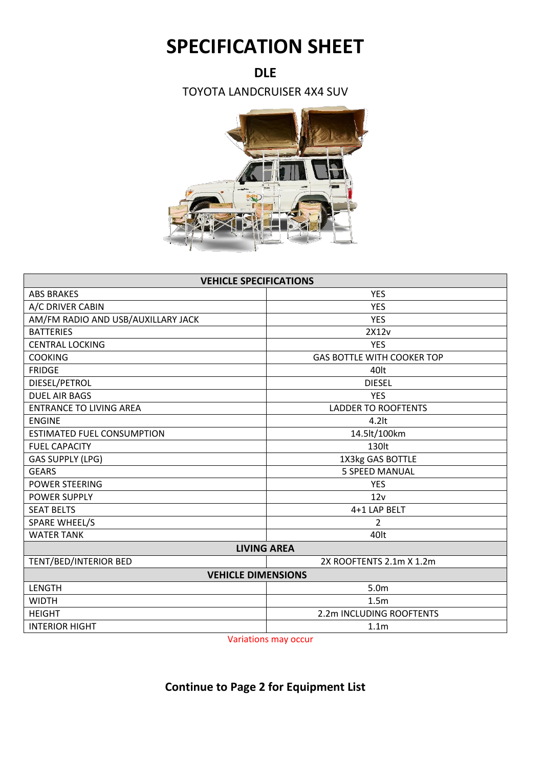## **SPECIFICATION SHEET**

## **DLE**

TOYOTA LANDCRUISER 4X4 SUV



| <b>VEHICLE SPECIFICATIONS</b>      |                                   |  |
|------------------------------------|-----------------------------------|--|
| <b>ABS BRAKES</b>                  | <b>YES</b>                        |  |
| A/C DRIVER CABIN                   | <b>YES</b>                        |  |
| AM/FM RADIO AND USB/AUXILLARY JACK | <b>YES</b>                        |  |
| <b>BATTERIES</b>                   | 2X12v                             |  |
| <b>CENTRAL LOCKING</b>             | <b>YES</b>                        |  |
| <b>COOKING</b>                     | <b>GAS BOTTLE WITH COOKER TOP</b> |  |
| <b>FRIDGE</b>                      | 40lt                              |  |
| DIESEL/PETROL                      | <b>DIESEL</b>                     |  |
| <b>DUEL AIR BAGS</b>               | <b>YES</b>                        |  |
| <b>ENTRANCE TO LIVING AREA</b>     | <b>LADDER TO ROOFTENTS</b>        |  |
| <b>ENGINE</b>                      | $4.2$ lt                          |  |
| <b>ESTIMATED FUEL CONSUMPTION</b>  | 14.5lt/100km                      |  |
| <b>FUEL CAPACITY</b>               | 130lt                             |  |
| <b>GAS SUPPLY (LPG)</b>            | 1X3kg GAS BOTTLE                  |  |
| <b>GEARS</b>                       | <b>5 SPEED MANUAL</b>             |  |
| <b>POWER STEERING</b>              | <b>YES</b>                        |  |
| <b>POWER SUPPLY</b>                | 12v                               |  |
| <b>SEAT BELTS</b>                  | 4+1 LAP BELT                      |  |
| <b>SPARE WHEEL/S</b>               | $\overline{2}$                    |  |
| <b>WATER TANK</b>                  | 40lt                              |  |
| <b>LIVING AREA</b>                 |                                   |  |
| TENT/BED/INTERIOR BED              | 2X ROOFTENTS 2.1m X 1.2m          |  |
| <b>VEHICLE DIMENSIONS</b>          |                                   |  |
| <b>LENGTH</b>                      | 5.0 <sub>m</sub>                  |  |
| <b>WIDTH</b>                       | 1.5m                              |  |
| <b>HEIGHT</b>                      | 2.2m INCLUDING ROOFTENTS          |  |
| <b>INTERIOR HIGHT</b>              | 1.1 <sub>m</sub>                  |  |

Variations may occur

## **Continue to Page 2 for Equipment List**